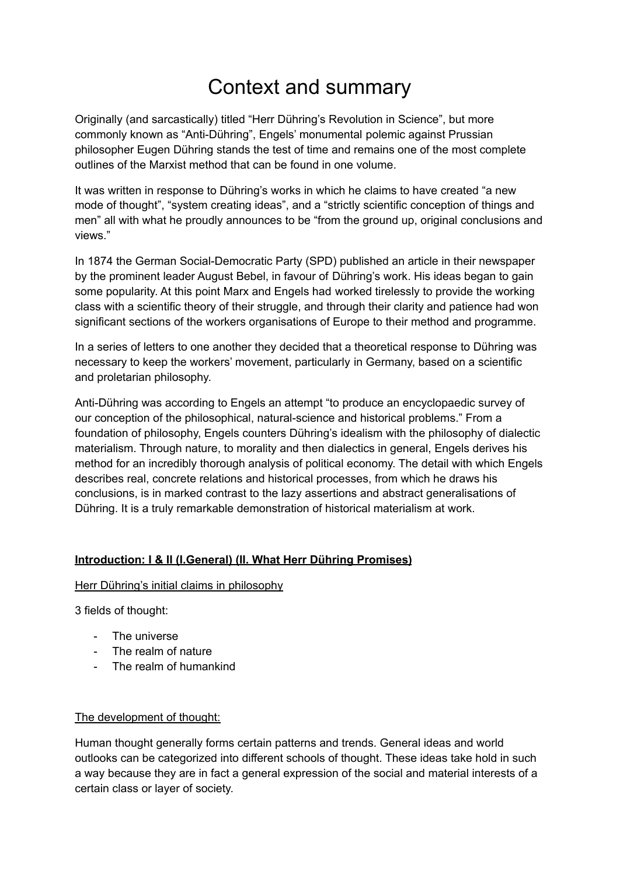# Context and summary

Originally (and sarcastically) titled "Herr Dühring's Revolution in Science", but more commonly known as "Anti-Dühring", Engels' monumental polemic against Prussian philosopher Eugen Dühring stands the test of time and remains one of the most complete outlines of the Marxist method that can be found in one volume.

It was written in response to Dühring's works in which he claims to have created "a new mode of thought", "system creating ideas", and a "strictly scientific conception of things and men" all with what he proudly announces to be "from the ground up, original conclusions and views."

In 1874 the German Social-Democratic Party (SPD) published an article in their newspaper by the prominent leader August Bebel, in favour of Dühring's work. His ideas began to gain some popularity. At this point Marx and Engels had worked tirelessly to provide the working class with a scientific theory of their struggle, and through their clarity and patience had won significant sections of the workers organisations of Europe to their method and programme.

In a series of letters to one another they decided that a theoretical response to Dühring was necessary to keep the workers' movement, particularly in Germany, based on a scientific and proletarian philosophy.

Anti-Dühring was according to Engels an attempt "to produce an encyclopaedic survey of our conception of the philosophical, natural-science and historical problems." From a foundation of philosophy, Engels counters Dühring's idealism with the philosophy of dialectic materialism. Through nature, to morality and then dialectics in general, Engels derives his method for an incredibly thorough analysis of political economy. The detail with which Engels describes real, concrete relations and historical processes, from which he draws his conclusions, is in marked contrast to the lazy assertions and abstract generalisations of Dühring. It is a truly remarkable demonstration of historical materialism at work.

# **Introduction: I & II (I.General) (II. What Herr Dühring Promises)**

#### Herr Dühring's initial claims in philosophy

3 fields of thought:

- The universe
- The realm of nature
- The realm of humankind

#### The development of thought:

Human thought generally forms certain patterns and trends. General ideas and world outlooks can be categorized into different schools of thought. These ideas take hold in such a way because they are in fact a general expression of the social and material interests of a certain class or layer of society.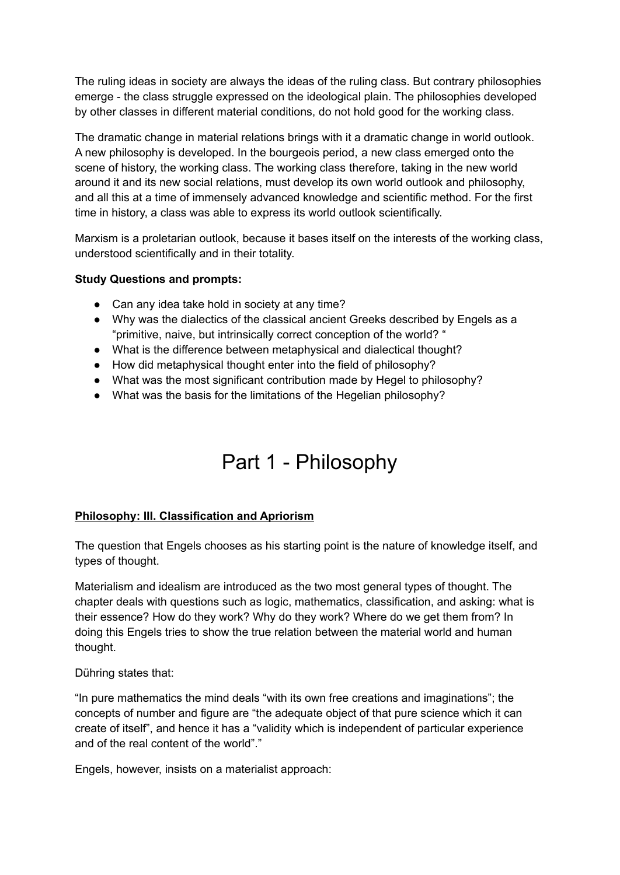The ruling ideas in society are always the ideas of the ruling class. But contrary philosophies emerge - the class struggle expressed on the ideological plain. The philosophies developed by other classes in different material conditions, do not hold good for the working class.

The dramatic change in material relations brings with it a dramatic change in world outlook. A new philosophy is developed. In the bourgeois period, a new class emerged onto the scene of history, the working class. The working class therefore, taking in the new world around it and its new social relations, must develop its own world outlook and philosophy, and all this at a time of immensely advanced knowledge and scientific method. For the first time in history, a class was able to express its world outlook scientifically.

Marxism is a proletarian outlook, because it bases itself on the interests of the working class, understood scientifically and in their totality.

#### **Study Questions and prompts:**

- Can any idea take hold in society at any time?
- Why was the dialectics of the classical ancient Greeks described by Engels as a "primitive, naive, but intrinsically correct conception of the world? "
- What is the difference between metaphysical and dialectical thought?
- How did metaphysical thought enter into the field of philosophy?
- What was the most significant contribution made by Hegel to philosophy?
- What was the basis for the limitations of the Hegelian philosophy?

# Part 1 - Philosophy

#### **Philosophy: III. Classification and Apriorism**

The question that Engels chooses as his starting point is the nature of knowledge itself, and types of thought.

Materialism and idealism are introduced as the two most general types of thought. The chapter deals with questions such as logic, mathematics, classification, and asking: what is their essence? How do they work? Why do they work? Where do we get them from? In doing this Engels tries to show the true relation between the material world and human thought.

#### Dühring states that:

"In pure mathematics the mind deals "with its own free creations and imaginations"; the concepts of number and figure are "the adequate object of that pure science which it can create of itself", and hence it has a "validity which is independent of particular experience and of the real content of the world"."

Engels, however, insists on a materialist approach: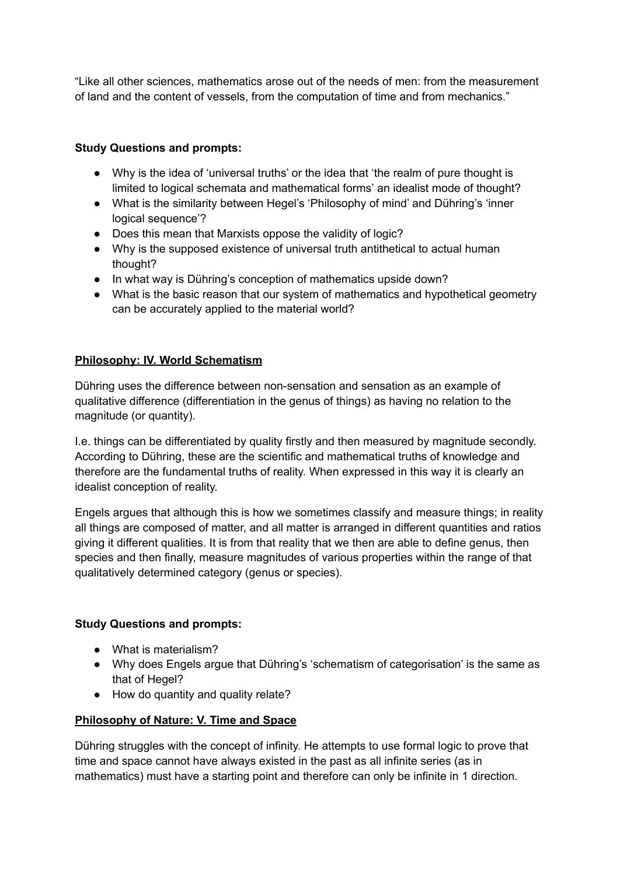"Like all other sciences, mathematics arose out of the needs of men: from the measurement of land and the content of vessels, from the computation of time and from mechanics."

# **Study Questions and prompts:**

- Why is the idea of 'universal truths' or the idea that 'the realm of pure thought is limited to logical schemata and mathematical forms' an idealist mode of thought?
- What is the similarity between Hegel's 'Philosophy of mind' and Dühring's 'inner logical sequence'?
- Does this mean that Marxists oppose the validity of logic?
- Why is the supposed existence of universal truth antithetical to actual human thought?
- In what way is Dühring's conception of mathematics upside down?
- What is the basic reason that our system of mathematics and hypothetical geometry can be accurately applied to the material world?

# **Philosophy: IV. World Schematism**

Dühring uses the difference between non-sensation and sensation as an example of qualitative difference (differentiation in the genus of things) as having no relation to the magnitude (or quantity).

I.e. things can be differentiated by quality firstly and then measured by magnitude secondly. According to Dühring, these are the scientific and mathematical truths of knowledge and therefore are the fundamental truths of reality. When expressed in this way it is clearly an idealist conception of reality.

Engels argues that although this is how we sometimes classify and measure things; in reality all things are composed of matter, and all matter is arranged in different quantities and ratios giving it different qualities. It is from that reality that we then are able to define genus, then species and then finally, measure magnitudes of various properties within the range of that qualitatively determined category (genus or species).

# **Study Questions and prompts:**

- What is materialism?
- Why does Engels argue that Dühring's 'schematism of categorisation' is the same as that of Hegel?
- How do quantity and quality relate?

# **Philosophy of Nature: V. Time and Space**

Dühring struggles with the concept of infinity. He attempts to use formal logic to prove that time and space cannot have always existed in the past as all infinite series (as in mathematics) must have a starting point and therefore can only be infinite in 1 direction.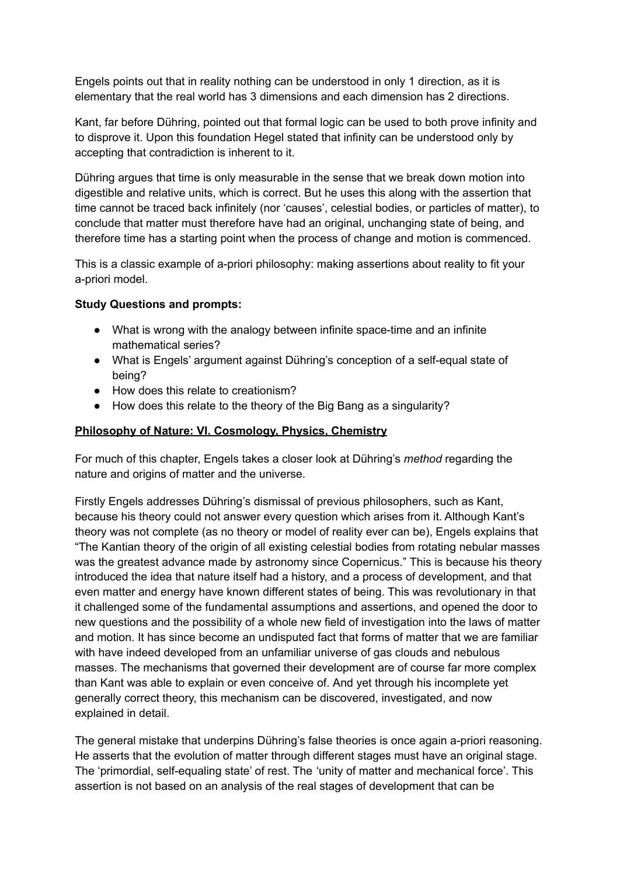Engels points out that in reality nothing can be understood in only 1 direction, as it is elementary that the real world has 3 dimensions and each dimension has 2 directions.

Kant, far before Dühring, pointed out that formal logic can be used to both prove infinity and to disprove it. Upon this foundation Hegel stated that infinity can be understood only by accepting that contradiction is inherent to it.

Dühring argues that time is only measurable in the sense that we break down motion into digestible and relative units, which is correct. But he uses this along with the assertion that time cannot be traced back infinitely (nor 'causes', celestial bodies, or particles of matter), to conclude that matter must therefore have had an original, unchanging state of being, and therefore time has a starting point when the process of change and motion is commenced.

This is a classic example of a-priori philosophy: making assertions about reality to fit your a-priori model.

## **Study Questions and prompts:**

- What is wrong with the analogy between infinite space-time and an infinite mathematical series?
- What is Engels' argument against Dühring's conception of a self-equal state of being?
- How does this relate to creationism?
- How does this relate to the theory of the Big Bang as a singularity?

### **Philosophy of Nature: VI. Cosmology, Physics, Chemistry**

For much of this chapter, Engels takes a closer look at Dühring's *method* regarding the nature and origins of matter and the universe.

Firstly Engels addresses Dühring's dismissal of previous philosophers, such as Kant, because his theory could not answer every question which arises from it. Although Kant's theory was not complete (as no theory or model of reality ever can be), Engels explains that "The Kantian theory of the origin of all existing celestial bodies from rotating nebular masses was the greatest advance made by astronomy since Copernicus." This is because his theory introduced the idea that nature itself had a history, and a process of development, and that even matter and energy have known different states of being. This was revolutionary in that it challenged some of the fundamental assumptions and assertions, and opened the door to new questions and the possibility of a whole new field of investigation into the laws of matter and motion. It has since become an undisputed fact that forms of matter that we are familiar with have indeed developed from an unfamiliar universe of gas clouds and nebulous masses. The mechanisms that governed their development are of course far more complex than Kant was able to explain or even conceive of. And yet through his incomplete yet generally correct theory, this mechanism can be discovered, investigated, and now explained in detail.

The general mistake that underpins Dühring's false theories is once again a-priori reasoning. He asserts that the evolution of matter through different stages must have an original stage. The 'primordial, self-equaling state' of rest. The 'unity of matter and mechanical force'. This assertion is not based on an analysis of the real stages of development that can be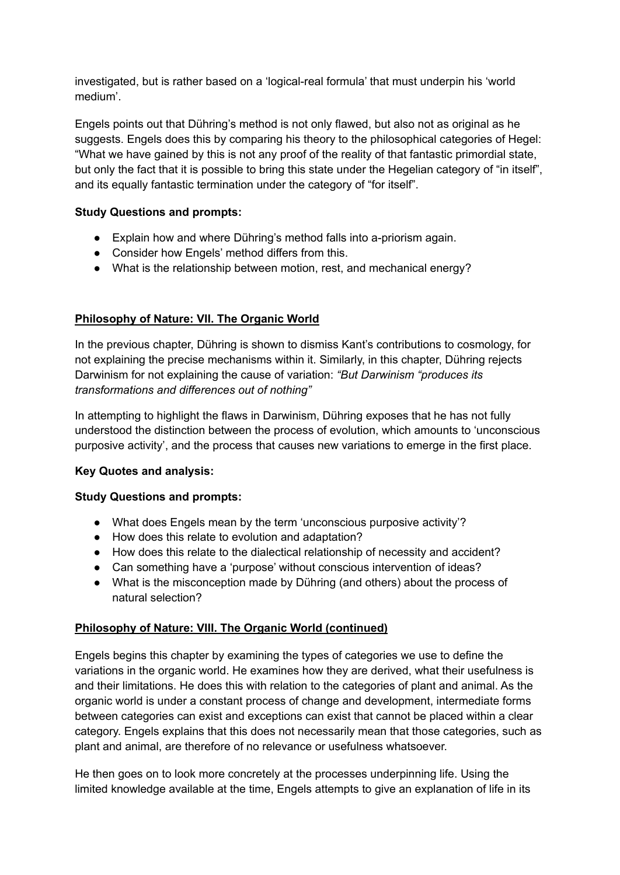investigated, but is rather based on a 'logical-real formula' that must underpin his 'world medium'.

Engels points out that Dühring's method is not only flawed, but also not as original as he suggests. Engels does this by comparing his theory to the philosophical categories of Hegel: "What we have gained by this is not any proof of the reality of that fantastic primordial state, but only the fact that it is possible to bring this state under the Hegelian category of "in itself", and its equally fantastic termination under the category of "for itself".

## **Study Questions and prompts:**

- Explain how and where Dühring's method falls into a-priorism again.
- Consider how Engels' method differs from this.
- What is the relationship between motion, rest, and mechanical energy?

# **Philosophy of Nature: VII. The Organic World**

In the previous chapter, Dühring is shown to dismiss Kant's contributions to cosmology, for not explaining the precise mechanisms within it. Similarly, in this chapter, Dühring rejects Darwinism for not explaining the cause of variation: *"But Darwinism "produces its transformations and differences out of nothing"*

In attempting to highlight the flaws in Darwinism, Dühring exposes that he has not fully understood the distinction between the process of evolution, which amounts to 'unconscious purposive activity', and the process that causes new variations to emerge in the first place.

# **Key Quotes and analysis:**

# **Study Questions and prompts:**

- What does Engels mean by the term 'unconscious purposive activity'?
- How does this relate to evolution and adaptation?
- How does this relate to the dialectical relationship of necessity and accident?
- Can something have a 'purpose' without conscious intervention of ideas?
- What is the misconception made by Dühring (and others) about the process of natural selection?

# **Philosophy of Nature: VIII. The Organic World (continued)**

Engels begins this chapter by examining the types of categories we use to define the variations in the organic world. He examines how they are derived, what their usefulness is and their limitations. He does this with relation to the categories of plant and animal. As the organic world is under a constant process of change and development, intermediate forms between categories can exist and exceptions can exist that cannot be placed within a clear category. Engels explains that this does not necessarily mean that those categories, such as plant and animal, are therefore of no relevance or usefulness whatsoever.

He then goes on to look more concretely at the processes underpinning life. Using the limited knowledge available at the time, Engels attempts to give an explanation of life in its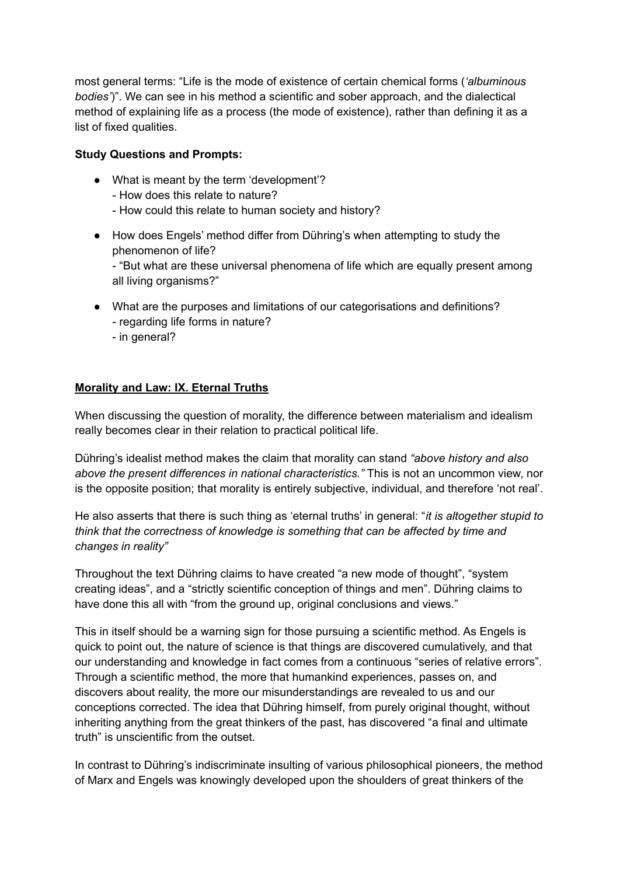most general terms: "Life is the mode of existence of certain chemical forms (*'albuminous bodies'*)". We can see in his method a scientific and sober approach, and the dialectical method of explaining life as a process (the mode of existence), rather than defining it as a list of fixed qualities.

## **Study Questions and Prompts:**

- What is meant by the term 'development'? - How does this relate to nature? - How could this relate to human society and history?
- How does Engels' method differ from Dühring's when attempting to study the phenomenon of life?

- "But what are these universal phenomena of life which are equally present among all living organisms?"

- What are the purposes and limitations of our categorisations and definitions? - regarding life forms in nature?
	- in general?

# **Morality and Law: IX. Eternal Truths**

When discussing the question of morality, the difference between materialism and idealism really becomes clear in their relation to practical political life.

Dühring's idealist method makes the claim that morality can stand *"above history and also above the present differences in national characteristics."* This is not an uncommon view, nor is the opposite position; that morality is entirely subjective, individual, and therefore 'not real'.

He also asserts that there is such thing as 'eternal truths' in general: "*it is altogether stupid to think that the correctness of knowledge is something that can be affected by time and changes in reality"*

Throughout the text Dühring claims to have created "a new mode of thought", "system creating ideas", and a "strictly scientific conception of things and men". Dühring claims to have done this all with "from the ground up, original conclusions and views."

This in itself should be a warning sign for those pursuing a scientific method. As Engels is quick to point out, the nature of science is that things are discovered cumulatively, and that our understanding and knowledge in fact comes from a continuous "series of relative errors". Through a scientific method, the more that humankind experiences, passes on, and discovers about reality, the more our misunderstandings are revealed to us and our conceptions corrected. The idea that Dühring himself, from purely original thought, without inheriting anything from the great thinkers of the past, has discovered "a final and ultimate truth" is unscientific from the outset.

In contrast to Dühring's indiscriminate insulting of various philosophical pioneers, the method of Marx and Engels was knowingly developed upon the shoulders of great thinkers of the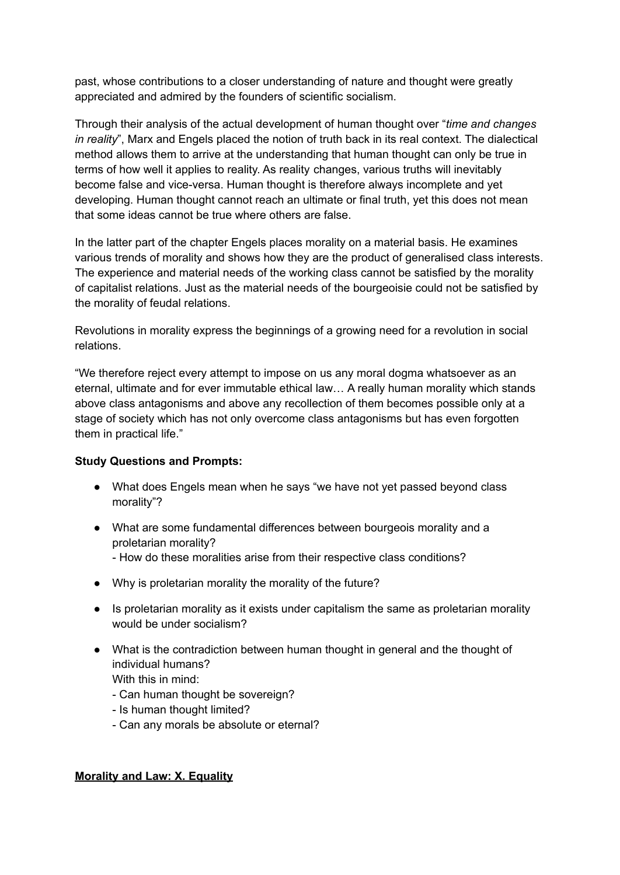past, whose contributions to a closer understanding of nature and thought were greatly appreciated and admired by the founders of scientific socialism.

Through their analysis of the actual development of human thought over "*time and changes in reality*", Marx and Engels placed the notion of truth back in its real context. The dialectical method allows them to arrive at the understanding that human thought can only be true in terms of how well it applies to reality. As reality changes, various truths will inevitably become false and vice-versa. Human thought is therefore always incomplete and yet developing. Human thought cannot reach an ultimate or final truth, yet this does not mean that some ideas cannot be true where others are false.

In the latter part of the chapter Engels places morality on a material basis. He examines various trends of morality and shows how they are the product of generalised class interests. The experience and material needs of the working class cannot be satisfied by the morality of capitalist relations. Just as the material needs of the bourgeoisie could not be satisfied by the morality of feudal relations.

Revolutions in morality express the beginnings of a growing need for a revolution in social relations.

"We therefore reject every attempt to impose on us any moral dogma whatsoever as an eternal, ultimate and for ever immutable ethical law… A really human morality which stands above class antagonisms and above any recollection of them becomes possible only at a stage of society which has not only overcome class antagonisms but has even forgotten them in practical life."

#### **Study Questions and Prompts:**

- What does Engels mean when he says "we have not yet passed beyond class morality"?
- What are some fundamental differences between bourgeois morality and a proletarian morality?
	- How do these moralities arise from their respective class conditions?
- Why is proletarian morality the morality of the future?
- Is proletarian morality as it exists under capitalism the same as proletarian morality would be under socialism?
- What is the contradiction between human thought in general and the thought of individual humans? With this in mind:
	- Can human thought be sovereign?
	- Is human thought limited?
	- Can any morals be absolute or eternal?

#### **Morality and Law: X. Equality**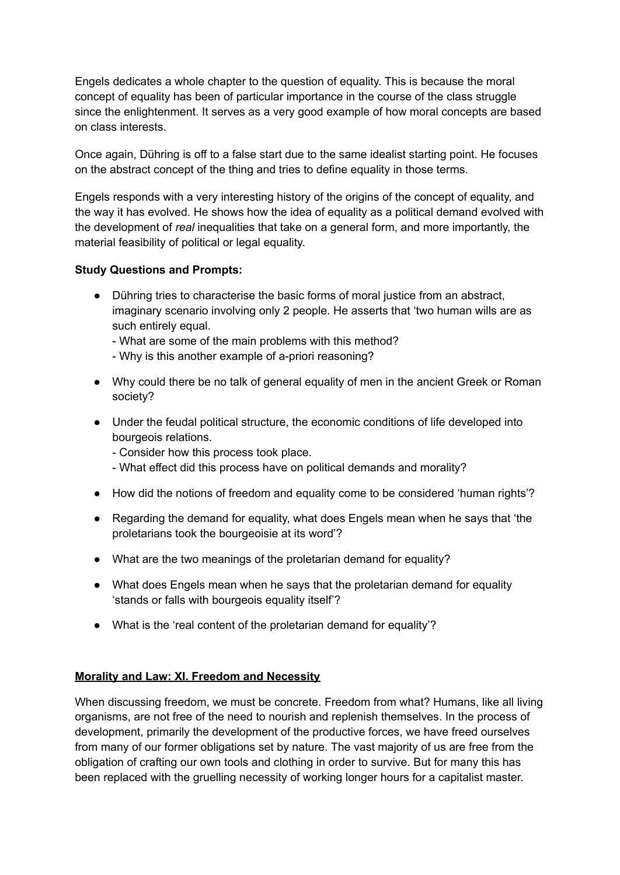Engels dedicates a whole chapter to the question of equality. This is because the moral concept of equality has been of particular importance in the course of the class struggle since the enlightenment. It serves as a very good example of how moral concepts are based on class interests.

Once again, Dühring is off to a false start due to the same idealist starting point. He focuses on the abstract concept of the thing and tries to define equality in those terms.

Engels responds with a very interesting history of the origins of the concept of equality, and the way it has evolved. He shows how the idea of equality as a political demand evolved with the development of *real* inequalities that take on a general form, and more importantly, the material feasibility of political or legal equality.

## **Study Questions and Prompts:**

- Dühring tries to characterise the basic forms of moral justice from an abstract, imaginary scenario involving only 2 people. He asserts that 'two human wills are as such entirely equal.
	- What are some of the main problems with this method?
	- Why is this another example of a-priori reasoning?
- Why could there be no talk of general equality of men in the ancient Greek or Roman society?
- Under the feudal political structure, the economic conditions of life developed into bourgeois relations.
	- Consider how this process took place.
	- What effect did this process have on political demands and morality?
- How did the notions of freedom and equality come to be considered 'human rights'?
- Regarding the demand for equality, what does Engels mean when he says that 'the proletarians took the bourgeoisie at its word'?
- What are the two meanings of the proletarian demand for equality?
- What does Engels mean when he says that the proletarian demand for equality 'stands or falls with bourgeois equality itself'?
- What is the 'real content of the proletarian demand for equality'?

#### **Morality and Law: XI. Freedom and Necessity**

When discussing freedom, we must be concrete. Freedom from what? Humans, like all living organisms, are not free of the need to nourish and replenish themselves. In the process of development, primarily the development of the productive forces, we have freed ourselves from many of our former obligations set by nature. The vast majority of us are free from the obligation of crafting our own tools and clothing in order to survive. But for many this has been replaced with the gruelling necessity of working longer hours for a capitalist master.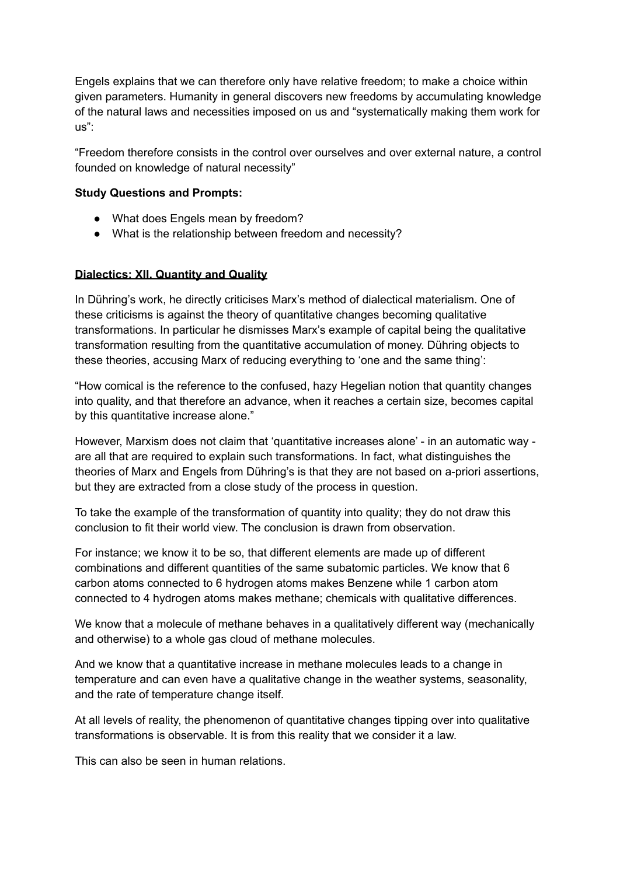Engels explains that we can therefore only have relative freedom; to make a choice within given parameters. Humanity in general discovers new freedoms by accumulating knowledge of the natural laws and necessities imposed on us and "systematically making them work for us":

"Freedom therefore consists in the control over ourselves and over external nature, a control founded on knowledge of natural necessity"

#### **Study Questions and Prompts:**

- What does Engels mean by freedom?
- What is the relationship between freedom and necessity?

#### **Dialectics: XII. Quantity and Quality**

In Dühring's work, he directly criticises Marx's method of dialectical materialism. One of these criticisms is against the theory of quantitative changes becoming qualitative transformations. In particular he dismisses Marx's example of capital being the qualitative transformation resulting from the quantitative accumulation of money. Dühring objects to these theories, accusing Marx of reducing everything to 'one and the same thing':

"How comical is the reference to the confused, hazy Hegelian notion that quantity changes into quality, and that therefore an advance, when it reaches a certain size, becomes capital by this quantitative increase alone."

However, Marxism does not claim that 'quantitative increases alone' - in an automatic way are all that are required to explain such transformations. In fact, what distinguishes the theories of Marx and Engels from Dühring's is that they are not based on a-priori assertions, but they are extracted from a close study of the process in question.

To take the example of the transformation of quantity into quality; they do not draw this conclusion to fit their world view. The conclusion is drawn from observation.

For instance; we know it to be so, that different elements are made up of different combinations and different quantities of the same subatomic particles. We know that 6 carbon atoms connected to 6 hydrogen atoms makes Benzene while 1 carbon atom connected to 4 hydrogen atoms makes methane; chemicals with qualitative differences.

We know that a molecule of methane behaves in a qualitatively different way (mechanically and otherwise) to a whole gas cloud of methane molecules.

And we know that a quantitative increase in methane molecules leads to a change in temperature and can even have a qualitative change in the weather systems, seasonality, and the rate of temperature change itself.

At all levels of reality, the phenomenon of quantitative changes tipping over into qualitative transformations is observable. It is from this reality that we consider it a law.

This can also be seen in human relations.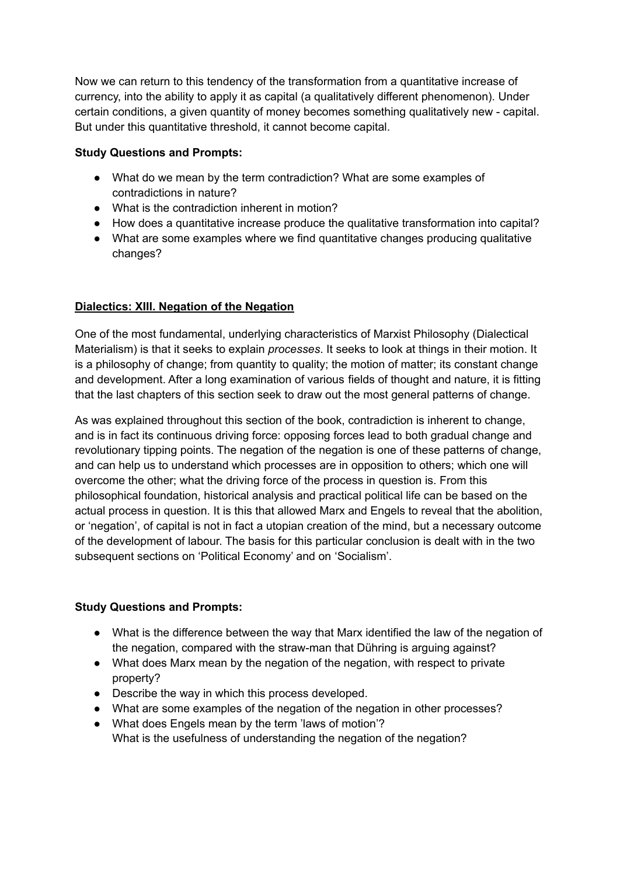Now we can return to this tendency of the transformation from a quantitative increase of currency, into the ability to apply it as capital (a qualitatively different phenomenon). Under certain conditions, a given quantity of money becomes something qualitatively new - capital. But under this quantitative threshold, it cannot become capital.

# **Study Questions and Prompts:**

- What do we mean by the term contradiction? What are some examples of contradictions in nature?
- What is the contradiction inherent in motion?
- How does a quantitative increase produce the qualitative transformation into capital?
- What are some examples where we find quantitative changes producing qualitative changes?

# **Dialectics: XIII. Negation of the Negation**

One of the most fundamental, underlying characteristics of Marxist Philosophy (Dialectical Materialism) is that it seeks to explain *processes*. It seeks to look at things in their motion. It is a philosophy of change; from quantity to quality; the motion of matter; its constant change and development. After a long examination of various fields of thought and nature, it is fitting that the last chapters of this section seek to draw out the most general patterns of change.

As was explained throughout this section of the book, contradiction is inherent to change, and is in fact its continuous driving force: opposing forces lead to both gradual change and revolutionary tipping points. The negation of the negation is one of these patterns of change, and can help us to understand which processes are in opposition to others; which one will overcome the other; what the driving force of the process in question is. From this philosophical foundation, historical analysis and practical political life can be based on the actual process in question. It is this that allowed Marx and Engels to reveal that the abolition, or 'negation', of capital is not in fact a utopian creation of the mind, but a necessary outcome of the development of labour. The basis for this particular conclusion is dealt with in the two subsequent sections on 'Political Economy' and on 'Socialism'.

# **Study Questions and Prompts:**

- What is the difference between the way that Marx identified the law of the negation of the negation, compared with the straw-man that Dühring is arguing against?
- What does Marx mean by the negation of the negation, with respect to private property?
- Describe the way in which this process developed.
- What are some examples of the negation of the negation in other processes?
- What does Engels mean by the term 'laws of motion'? What is the usefulness of understanding the negation of the negation?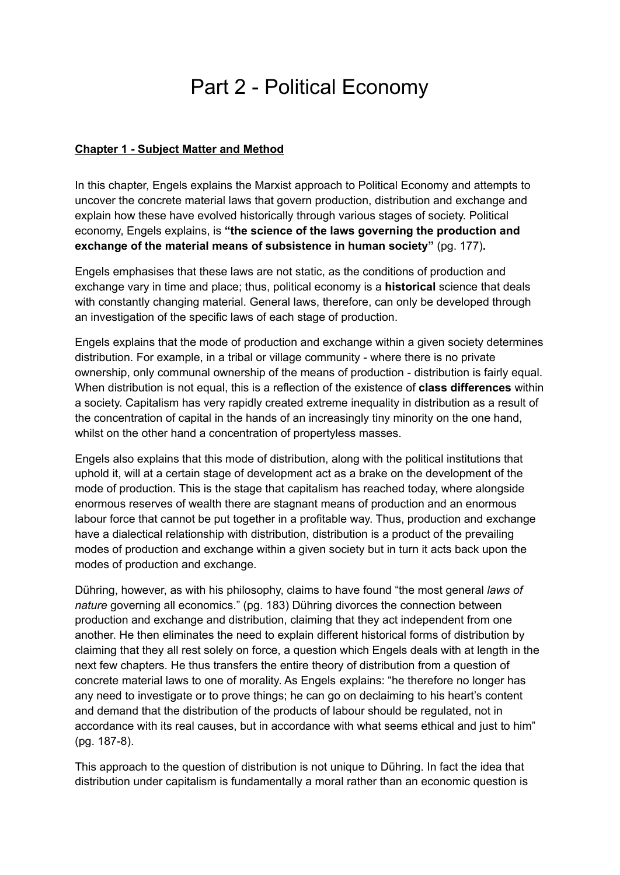# Part 2 - Political Economy

## **Chapter 1 - Subject Matter and Method**

In this chapter, Engels explains the Marxist approach to Political Economy and attempts to uncover the concrete material laws that govern production, distribution and exchange and explain how these have evolved historically through various stages of society. Political economy, Engels explains, is **"the science of the laws governing the production and exchange of the material means of subsistence in human society"** (pg. 177)**.**

Engels emphasises that these laws are not static, as the conditions of production and exchange vary in time and place; thus, political economy is a **historical** science that deals with constantly changing material. General laws, therefore, can only be developed through an investigation of the specific laws of each stage of production.

Engels explains that the mode of production and exchange within a given society determines distribution. For example, in a tribal or village community - where there is no private ownership, only communal ownership of the means of production - distribution is fairly equal. When distribution is not equal, this is a reflection of the existence of **class differences** within a society. Capitalism has very rapidly created extreme inequality in distribution as a result of the concentration of capital in the hands of an increasingly tiny minority on the one hand, whilst on the other hand a concentration of propertyless masses.

Engels also explains that this mode of distribution, along with the political institutions that uphold it, will at a certain stage of development act as a brake on the development of the mode of production. This is the stage that capitalism has reached today, where alongside enormous reserves of wealth there are stagnant means of production and an enormous labour force that cannot be put together in a profitable way. Thus, production and exchange have a dialectical relationship with distribution, distribution is a product of the prevailing modes of production and exchange within a given society but in turn it acts back upon the modes of production and exchange.

Dühring, however, as with his philosophy, claims to have found "the most general *laws of nature* governing all economics." (pg. 183) Dühring divorces the connection between production and exchange and distribution, claiming that they act independent from one another. He then eliminates the need to explain different historical forms of distribution by claiming that they all rest solely on force, a question which Engels deals with at length in the next few chapters. He thus transfers the entire theory of distribution from a question of concrete material laws to one of morality. As Engels explains: "he therefore no longer has any need to investigate or to prove things; he can go on declaiming to his heart's content and demand that the distribution of the products of labour should be regulated, not in accordance with its real causes, but in accordance with what seems ethical and just to him" (pg. 187-8).

This approach to the question of distribution is not unique to Dühring. In fact the idea that distribution under capitalism is fundamentally a moral rather than an economic question is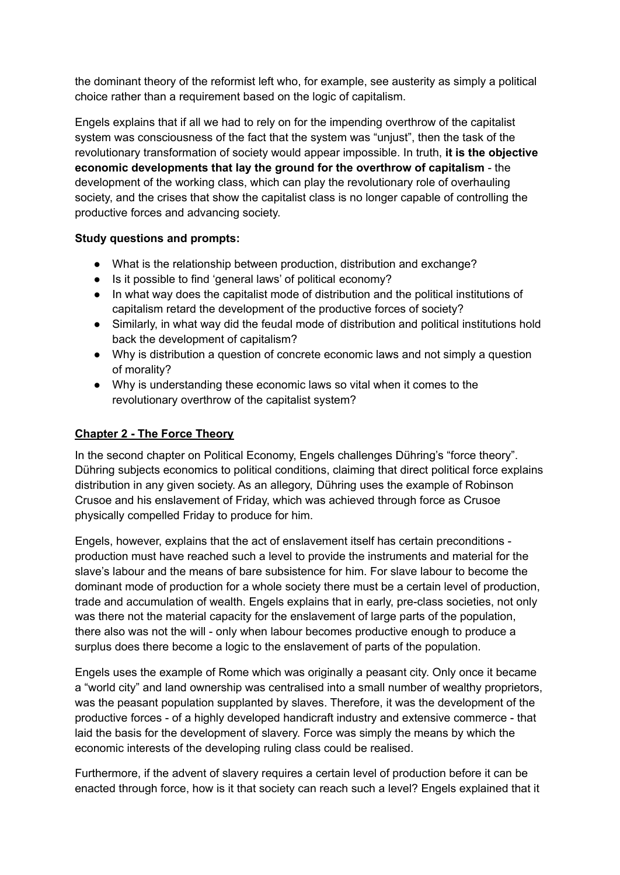the dominant theory of the reformist left who, for example, see austerity as simply a political choice rather than a requirement based on the logic of capitalism.

Engels explains that if all we had to rely on for the impending overthrow of the capitalist system was consciousness of the fact that the system was "unjust", then the task of the revolutionary transformation of society would appear impossible. In truth, **it is the objective economic developments that lay the ground for the overthrow of capitalism** - the development of the working class, which can play the revolutionary role of overhauling society, and the crises that show the capitalist class is no longer capable of controlling the productive forces and advancing society.

## **Study questions and prompts:**

- What is the relationship between production, distribution and exchange?
- Is it possible to find 'general laws' of political economy?
- In what way does the capitalist mode of distribution and the political institutions of capitalism retard the development of the productive forces of society?
- Similarly, in what way did the feudal mode of distribution and political institutions hold back the development of capitalism?
- Why is distribution a question of concrete economic laws and not simply a question of morality?
- Why is understanding these economic laws so vital when it comes to the revolutionary overthrow of the capitalist system?

## **Chapter 2 - The Force Theory**

In the second chapter on Political Economy, Engels challenges Dühring's "force theory". Dühring subjects economics to political conditions, claiming that direct political force explains distribution in any given society. As an allegory, Dühring uses the example of Robinson Crusoe and his enslavement of Friday, which was achieved through force as Crusoe physically compelled Friday to produce for him.

Engels, however, explains that the act of enslavement itself has certain preconditions production must have reached such a level to provide the instruments and material for the slave's labour and the means of bare subsistence for him. For slave labour to become the dominant mode of production for a whole society there must be a certain level of production, trade and accumulation of wealth. Engels explains that in early, pre-class societies, not only was there not the material capacity for the enslavement of large parts of the population, there also was not the will - only when labour becomes productive enough to produce a surplus does there become a logic to the enslavement of parts of the population.

Engels uses the example of Rome which was originally a peasant city. Only once it became a "world city" and land ownership was centralised into a small number of wealthy proprietors, was the peasant population supplanted by slaves. Therefore, it was the development of the productive forces - of a highly developed handicraft industry and extensive commerce - that laid the basis for the development of slavery. Force was simply the means by which the economic interests of the developing ruling class could be realised.

Furthermore, if the advent of slavery requires a certain level of production before it can be enacted through force, how is it that society can reach such a level? Engels explained that it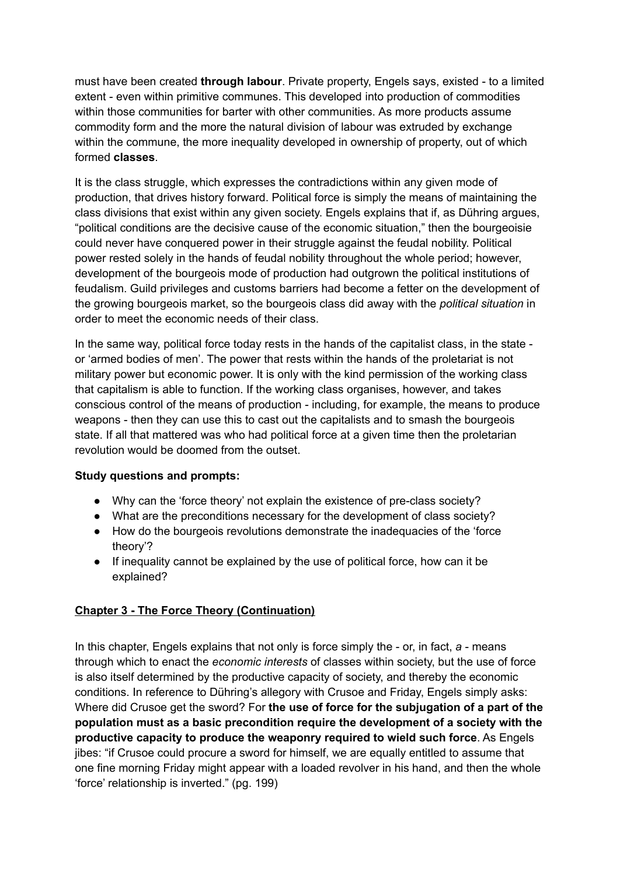must have been created **through labour**. Private property, Engels says, existed - to a limited extent - even within primitive communes. This developed into production of commodities within those communities for barter with other communities. As more products assume commodity form and the more the natural division of labour was extruded by exchange within the commune, the more inequality developed in ownership of property, out of which formed **classes**.

It is the class struggle, which expresses the contradictions within any given mode of production, that drives history forward. Political force is simply the means of maintaining the class divisions that exist within any given society. Engels explains that if, as Dühring argues, "political conditions are the decisive cause of the economic situation," then the bourgeoisie could never have conquered power in their struggle against the feudal nobility. Political power rested solely in the hands of feudal nobility throughout the whole period; however, development of the bourgeois mode of production had outgrown the political institutions of feudalism. Guild privileges and customs barriers had become a fetter on the development of the growing bourgeois market, so the bourgeois class did away with the *political situation* in order to meet the economic needs of their class.

In the same way, political force today rests in the hands of the capitalist class, in the state or 'armed bodies of men'. The power that rests within the hands of the proletariat is not military power but economic power. It is only with the kind permission of the working class that capitalism is able to function. If the working class organises, however, and takes conscious control of the means of production - including, for example, the means to produce weapons - then they can use this to cast out the capitalists and to smash the bourgeois state. If all that mattered was who had political force at a given time then the proletarian revolution would be doomed from the outset.

#### **Study questions and prompts:**

- Why can the 'force theory' not explain the existence of pre-class society?
- What are the preconditions necessary for the development of class society?
- How do the bourgeois revolutions demonstrate the inadequacies of the 'force theory'?
- If inequality cannot be explained by the use of political force, how can it be explained?

# **Chapter 3 - The Force Theory (Continuation)**

In this chapter, Engels explains that not only is force simply the - or, in fact, *a* - means through which to enact the *economic interests* of classes within society, but the use of force is also itself determined by the productive capacity of society, and thereby the economic conditions. In reference to Dühring's allegory with Crusoe and Friday, Engels simply asks: Where did Crusoe get the sword? For **the use of force for the subjugation of a part of the population must as a basic precondition require the development of a society with the productive capacity to produce the weaponry required to wield such force**. As Engels jibes: "if Crusoe could procure a sword for himself, we are equally entitled to assume that one fine morning Friday might appear with a loaded revolver in his hand, and then the whole 'force' relationship is inverted." (pg. 199)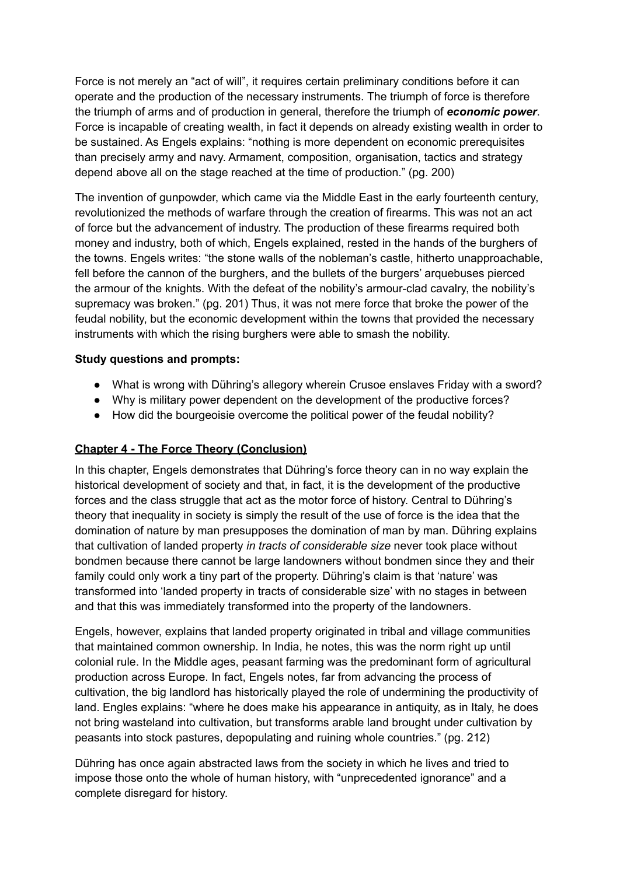Force is not merely an "act of will", it requires certain preliminary conditions before it can operate and the production of the necessary instruments. The triumph of force is therefore the triumph of arms and of production in general, therefore the triumph of *economic power*. Force is incapable of creating wealth, in fact it depends on already existing wealth in order to be sustained. As Engels explains: "nothing is more dependent on economic prerequisites than precisely army and navy. Armament, composition, organisation, tactics and strategy depend above all on the stage reached at the time of production." (pg. 200)

The invention of gunpowder, which came via the Middle East in the early fourteenth century, revolutionized the methods of warfare through the creation of firearms. This was not an act of force but the advancement of industry. The production of these firearms required both money and industry, both of which, Engels explained, rested in the hands of the burghers of the towns. Engels writes: "the stone walls of the nobleman's castle, hitherto unapproachable, fell before the cannon of the burghers, and the bullets of the burgers' arquebuses pierced the armour of the knights. With the defeat of the nobility's armour-clad cavalry, the nobility's supremacy was broken." (pg. 201) Thus, it was not mere force that broke the power of the feudal nobility, but the economic development within the towns that provided the necessary instruments with which the rising burghers were able to smash the nobility.

## **Study questions and prompts:**

- What is wrong with Dühring's allegory wherein Crusoe enslaves Friday with a sword?
- Why is military power dependent on the development of the productive forces?
- How did the bourgeoisie overcome the political power of the feudal nobility?

# **Chapter 4 - The Force Theory (Conclusion)**

In this chapter, Engels demonstrates that Dühring's force theory can in no way explain the historical development of society and that, in fact, it is the development of the productive forces and the class struggle that act as the motor force of history. Central to Dühring's theory that inequality in society is simply the result of the use of force is the idea that the domination of nature by man presupposes the domination of man by man. Dühring explains that cultivation of landed property *in tracts of considerable size* never took place without bondmen because there cannot be large landowners without bondmen since they and their family could only work a tiny part of the property. Dühring's claim is that 'nature' was transformed into 'landed property in tracts of considerable size' with no stages in between and that this was immediately transformed into the property of the landowners.

Engels, however, explains that landed property originated in tribal and village communities that maintained common ownership. In India, he notes, this was the norm right up until colonial rule. In the Middle ages, peasant farming was the predominant form of agricultural production across Europe. In fact, Engels notes, far from advancing the process of cultivation, the big landlord has historically played the role of undermining the productivity of land. Engles explains: "where he does make his appearance in antiquity, as in Italy, he does not bring wasteland into cultivation, but transforms arable land brought under cultivation by peasants into stock pastures, depopulating and ruining whole countries." (pg. 212)

Dühring has once again abstracted laws from the society in which he lives and tried to impose those onto the whole of human history, with "unprecedented ignorance" and a complete disregard for history.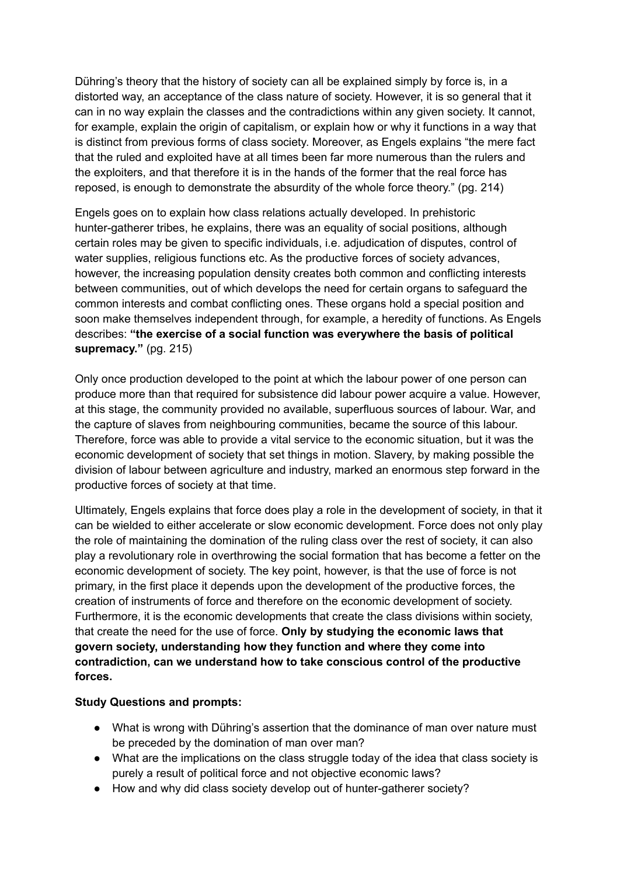Dühring's theory that the history of society can all be explained simply by force is, in a distorted way, an acceptance of the class nature of society. However, it is so general that it can in no way explain the classes and the contradictions within any given society. It cannot, for example, explain the origin of capitalism, or explain how or why it functions in a way that is distinct from previous forms of class society. Moreover, as Engels explains "the mere fact that the ruled and exploited have at all times been far more numerous than the rulers and the exploiters, and that therefore it is in the hands of the former that the real force has reposed, is enough to demonstrate the absurdity of the whole force theory." (pg. 214)

Engels goes on to explain how class relations actually developed. In prehistoric hunter-gatherer tribes, he explains, there was an equality of social positions, although certain roles may be given to specific individuals, i.e. adjudication of disputes, control of water supplies, religious functions etc. As the productive forces of society advances, however, the increasing population density creates both common and conflicting interests between communities, out of which develops the need for certain organs to safeguard the common interests and combat conflicting ones. These organs hold a special position and soon make themselves independent through, for example, a heredity of functions. As Engels describes: **"the exercise of a social function was everywhere the basis of political supremacy."** (pg. 215)

Only once production developed to the point at which the labour power of one person can produce more than that required for subsistence did labour power acquire a value. However, at this stage, the community provided no available, superfluous sources of labour. War, and the capture of slaves from neighbouring communities, became the source of this labour. Therefore, force was able to provide a vital service to the economic situation, but it was the economic development of society that set things in motion. Slavery, by making possible the division of labour between agriculture and industry, marked an enormous step forward in the productive forces of society at that time.

Ultimately, Engels explains that force does play a role in the development of society, in that it can be wielded to either accelerate or slow economic development. Force does not only play the role of maintaining the domination of the ruling class over the rest of society, it can also play a revolutionary role in overthrowing the social formation that has become a fetter on the economic development of society. The key point, however, is that the use of force is not primary, in the first place it depends upon the development of the productive forces, the creation of instruments of force and therefore on the economic development of society. Furthermore, it is the economic developments that create the class divisions within society, that create the need for the use of force. **Only by studying the economic laws that govern society, understanding how they function and where they come into contradiction, can we understand how to take conscious control of the productive forces.**

#### **Study Questions and prompts:**

- What is wrong with Dühring's assertion that the dominance of man over nature must be preceded by the domination of man over man?
- What are the implications on the class struggle today of the idea that class society is purely a result of political force and not objective economic laws?
- How and why did class society develop out of hunter-gatherer society?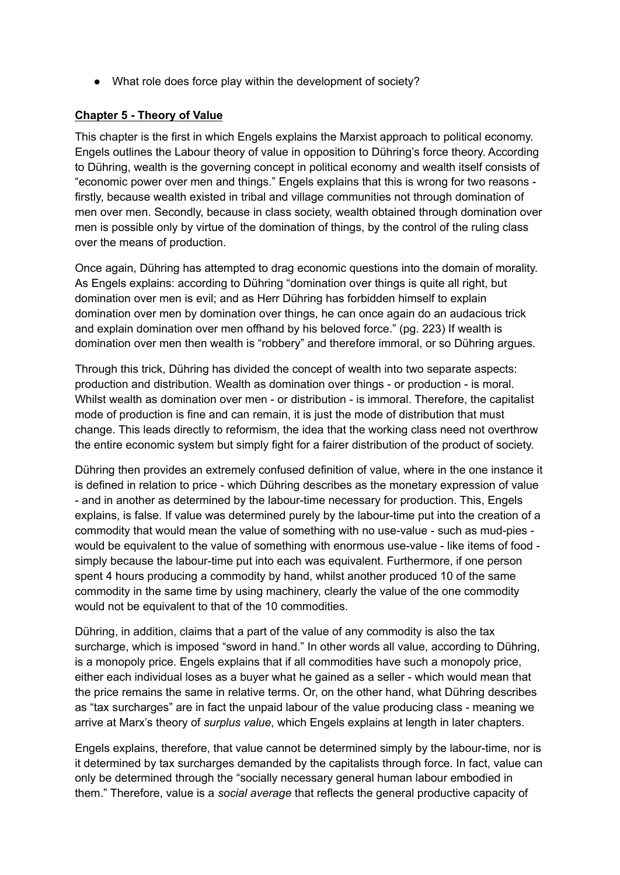• What role does force play within the development of society?

# **Chapter 5 - Theory of Value**

This chapter is the first in which Engels explains the Marxist approach to political economy. Engels outlines the Labour theory of value in opposition to Dühring's force theory. According to Dühring, wealth is the governing concept in political economy and wealth itself consists of "economic power over men and things." Engels explains that this is wrong for two reasons firstly, because wealth existed in tribal and village communities not through domination of men over men. Secondly, because in class society, wealth obtained through domination over men is possible only by virtue of the domination of things, by the control of the ruling class over the means of production.

Once again, Dühring has attempted to drag economic questions into the domain of morality. As Engels explains: according to Dühring "domination over things is quite all right, but domination over men is evil; and as Herr Dühring has forbidden himself to explain domination over men by domination over things, he can once again do an audacious trick and explain domination over men offhand by his beloved force." (pg. 223) If wealth is domination over men then wealth is "robbery" and therefore immoral, or so Dühring argues.

Through this trick, Dühring has divided the concept of wealth into two separate aspects: production and distribution. Wealth as domination over things - or production - is moral. Whilst wealth as domination over men - or distribution - is immoral. Therefore, the capitalist mode of production is fine and can remain, it is just the mode of distribution that must change. This leads directly to reformism, the idea that the working class need not overthrow the entire economic system but simply fight for a fairer distribution of the product of society.

Dühring then provides an extremely confused definition of value, where in the one instance it is defined in relation to price - which Dühring describes as the monetary expression of value - and in another as determined by the labour-time necessary for production. This, Engels explains, is false. If value was determined purely by the labour-time put into the creation of a commodity that would mean the value of something with no use-value - such as mud-pies would be equivalent to the value of something with enormous use-value - like items of food simply because the labour-time put into each was equivalent. Furthermore, if one person spent 4 hours producing a commodity by hand, whilst another produced 10 of the same commodity in the same time by using machinery, clearly the value of the one commodity would not be equivalent to that of the 10 commodities.

Dühring, in addition, claims that a part of the value of any commodity is also the tax surcharge, which is imposed "sword in hand." In other words all value, according to Dühring, is a monopoly price. Engels explains that if all commodities have such a monopoly price, either each individual loses as a buyer what he gained as a seller - which would mean that the price remains the same in relative terms. Or, on the other hand, what Dühring describes as "tax surcharges" are in fact the unpaid labour of the value producing class - meaning we arrive at Marx's theory of *surplus value*, which Engels explains at length in later chapters.

Engels explains, therefore, that value cannot be determined simply by the labour-time, nor is it determined by tax surcharges demanded by the capitalists through force. In fact, value can only be determined through the "socially necessary general human labour embodied in them." Therefore, value is a *social average* that reflects the general productive capacity of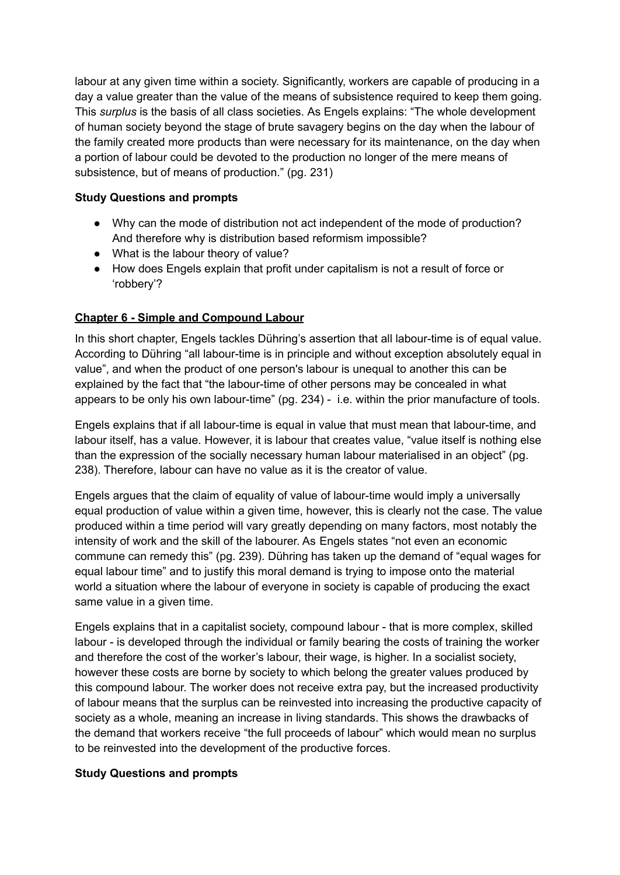labour at any given time within a society. Significantly, workers are capable of producing in a day a value greater than the value of the means of subsistence required to keep them going. This *surplus* is the basis of all class societies. As Engels explains: "The whole development of human society beyond the stage of brute savagery begins on the day when the labour of the family created more products than were necessary for its maintenance, on the day when a portion of labour could be devoted to the production no longer of the mere means of subsistence, but of means of production." (pg. 231)

## **Study Questions and prompts**

- Why can the mode of distribution not act independent of the mode of production? And therefore why is distribution based reformism impossible?
- What is the labour theory of value?
- How does Engels explain that profit under capitalism is not a result of force or 'robbery'?

# **Chapter 6 - Simple and Compound Labour**

In this short chapter, Engels tackles Dühring's assertion that all labour-time is of equal value. According to Dühring "all labour-time is in principle and without exception absolutely equal in value", and when the product of one person's labour is unequal to another this can be explained by the fact that "the labour-time of other persons may be concealed in what appears to be only his own labour-time" (pg. 234) - i.e. within the prior manufacture of tools.

Engels explains that if all labour-time is equal in value that must mean that labour-time, and labour itself, has a value. However, it is labour that creates value, "value itself is nothing else than the expression of the socially necessary human labour materialised in an object" (pg. 238). Therefore, labour can have no value as it is the creator of value.

Engels argues that the claim of equality of value of labour-time would imply a universally equal production of value within a given time, however, this is clearly not the case. The value produced within a time period will vary greatly depending on many factors, most notably the intensity of work and the skill of the labourer. As Engels states "not even an economic commune can remedy this" (pg. 239). Dühring has taken up the demand of "equal wages for equal labour time" and to justify this moral demand is trying to impose onto the material world a situation where the labour of everyone in society is capable of producing the exact same value in a given time.

Engels explains that in a capitalist society, compound labour - that is more complex, skilled labour - is developed through the individual or family bearing the costs of training the worker and therefore the cost of the worker's labour, their wage, is higher. In a socialist society, however these costs are borne by society to which belong the greater values produced by this compound labour. The worker does not receive extra pay, but the increased productivity of labour means that the surplus can be reinvested into increasing the productive capacity of society as a whole, meaning an increase in living standards. This shows the drawbacks of the demand that workers receive "the full proceeds of labour" which would mean no surplus to be reinvested into the development of the productive forces.

# **Study Questions and prompts**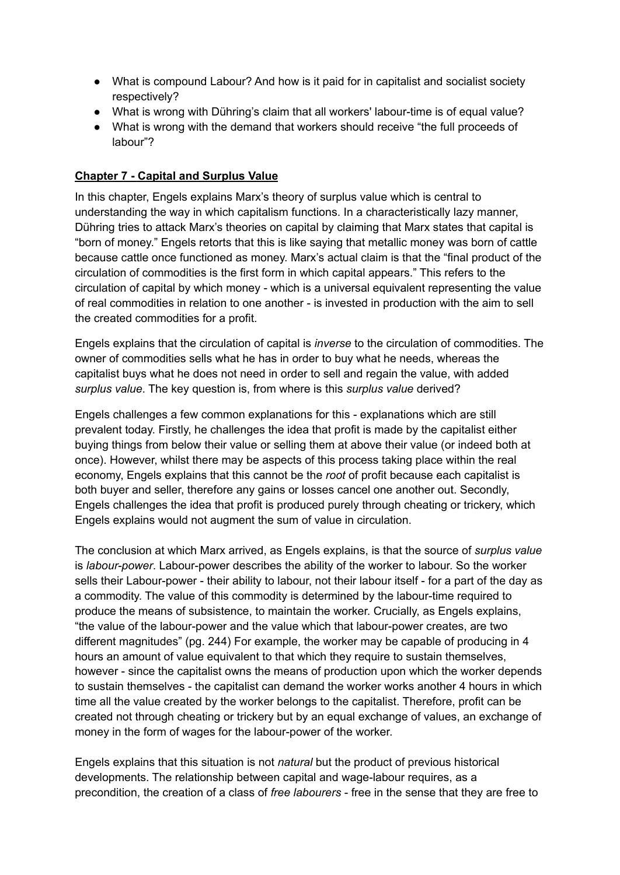- What is compound Labour? And how is it paid for in capitalist and socialist society respectively?
- What is wrong with Dühring's claim that all workers' labour-time is of equal value?
- What is wrong with the demand that workers should receive "the full proceeds of labour"?

# **Chapter 7 - Capital and Surplus Value**

In this chapter, Engels explains Marx's theory of surplus value which is central to understanding the way in which capitalism functions. In a characteristically lazy manner, Dühring tries to attack Marx's theories on capital by claiming that Marx states that capital is "born of money." Engels retorts that this is like saying that metallic money was born of cattle because cattle once functioned as money. Marx's actual claim is that the "final product of the circulation of commodities is the first form in which capital appears." This refers to the circulation of capital by which money - which is a universal equivalent representing the value of real commodities in relation to one another - is invested in production with the aim to sell the created commodities for a profit.

Engels explains that the circulation of capital is *inverse* to the circulation of commodities. The owner of commodities sells what he has in order to buy what he needs, whereas the capitalist buys what he does not need in order to sell and regain the value, with added *surplus value*. The key question is, from where is this *surplus value* derived?

Engels challenges a few common explanations for this - explanations which are still prevalent today. Firstly, he challenges the idea that profit is made by the capitalist either buying things from below their value or selling them at above their value (or indeed both at once). However, whilst there may be aspects of this process taking place within the real economy, Engels explains that this cannot be the *root* of profit because each capitalist is both buyer and seller, therefore any gains or losses cancel one another out. Secondly, Engels challenges the idea that profit is produced purely through cheating or trickery, which Engels explains would not augment the sum of value in circulation.

The conclusion at which Marx arrived, as Engels explains, is that the source of *surplus value* is *labour-power*. Labour-power describes the ability of the worker to labour. So the worker sells their Labour-power - their ability to labour, not their labour itself - for a part of the day as a commodity. The value of this commodity is determined by the labour-time required to produce the means of subsistence, to maintain the worker. Crucially, as Engels explains, "the value of the labour-power and the value which that labour-power creates, are two different magnitudes" (pg. 244) For example, the worker may be capable of producing in 4 hours an amount of value equivalent to that which they require to sustain themselves, however - since the capitalist owns the means of production upon which the worker depends to sustain themselves - the capitalist can demand the worker works another 4 hours in which time all the value created by the worker belongs to the capitalist. Therefore, profit can be created not through cheating or trickery but by an equal exchange of values, an exchange of money in the form of wages for the labour-power of the worker.

Engels explains that this situation is not *natural* but the product of previous historical developments. The relationship between capital and wage-labour requires, as a precondition, the creation of a class of *free labourers* - free in the sense that they are free to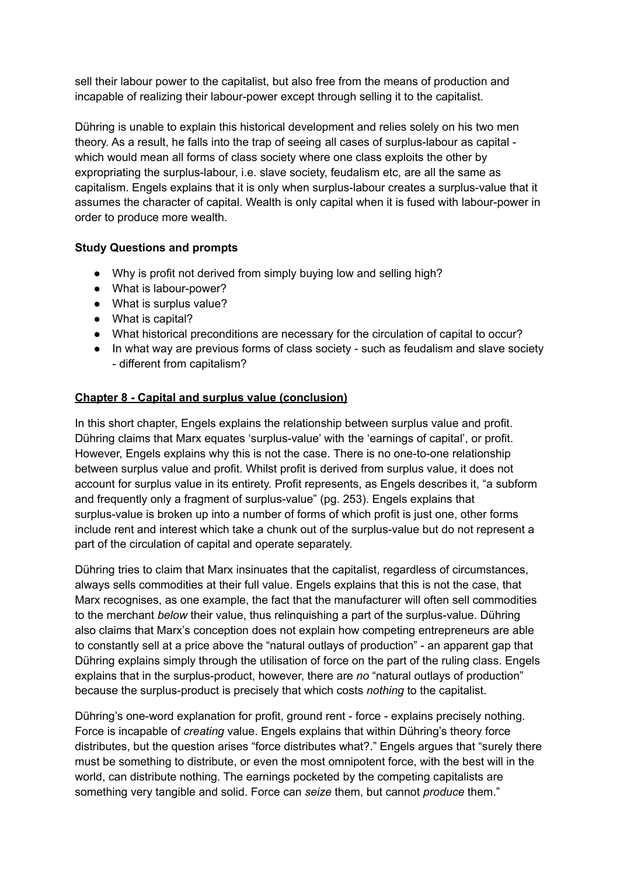sell their labour power to the capitalist, but also free from the means of production and incapable of realizing their labour-power except through selling it to the capitalist.

Dühring is unable to explain this historical development and relies solely on his two men theory. As a result, he falls into the trap of seeing all cases of surplus-labour as capital which would mean all forms of class society where one class exploits the other by expropriating the surplus-labour, i.e. slave society, feudalism etc, are all the same as capitalism. Engels explains that it is only when surplus-labour creates a surplus-value that it assumes the character of capital. Wealth is only capital when it is fused with labour-power in order to produce more wealth.

# **Study Questions and prompts**

- Why is profit not derived from simply buying low and selling high?
- What is labour-power?
- What is surplus value?
- What is capital?
- What historical preconditions are necessary for the circulation of capital to occur?
- In what way are previous forms of class society such as feudalism and slave society - different from capitalism?

## **Chapter 8 - Capital and surplus value (conclusion)**

In this short chapter, Engels explains the relationship between surplus value and profit. Dühring claims that Marx equates 'surplus-value' with the 'earnings of capital', or profit. However, Engels explains why this is not the case. There is no one-to-one relationship between surplus value and profit. Whilst profit is derived from surplus value, it does not account for surplus value in its entirety. Profit represents, as Engels describes it, "a subform and frequently only a fragment of surplus-value" (pg. 253). Engels explains that surplus-value is broken up into a number of forms of which profit is just one, other forms include rent and interest which take a chunk out of the surplus-value but do not represent a part of the circulation of capital and operate separately.

Dühring tries to claim that Marx insinuates that the capitalist, regardless of circumstances, always sells commodities at their full value. Engels explains that this is not the case, that Marx recognises, as one example, the fact that the manufacturer will often sell commodities to the merchant *below* their value, thus relinquishing a part of the surplus-value. Dühring also claims that Marx's conception does not explain how competing entrepreneurs are able to constantly sell at a price above the "natural outlays of production" - an apparent gap that Dühring explains simply through the utilisation of force on the part of the ruling class. Engels explains that in the surplus-product, however, there are *no* "natural outlays of production" because the surplus-product is precisely that which costs *nothing* to the capitalist.

Dühring's one-word explanation for profit, ground rent - force - explains precisely nothing. Force is incapable of *creating* value. Engels explains that within Dühring's theory force distributes, but the question arises "force distributes what?." Engels argues that "surely there must be something to distribute, or even the most omnipotent force, with the best will in the world, can distribute nothing. The earnings pocketed by the competing capitalists are something very tangible and solid. Force can *seize* them, but cannot *produce* them."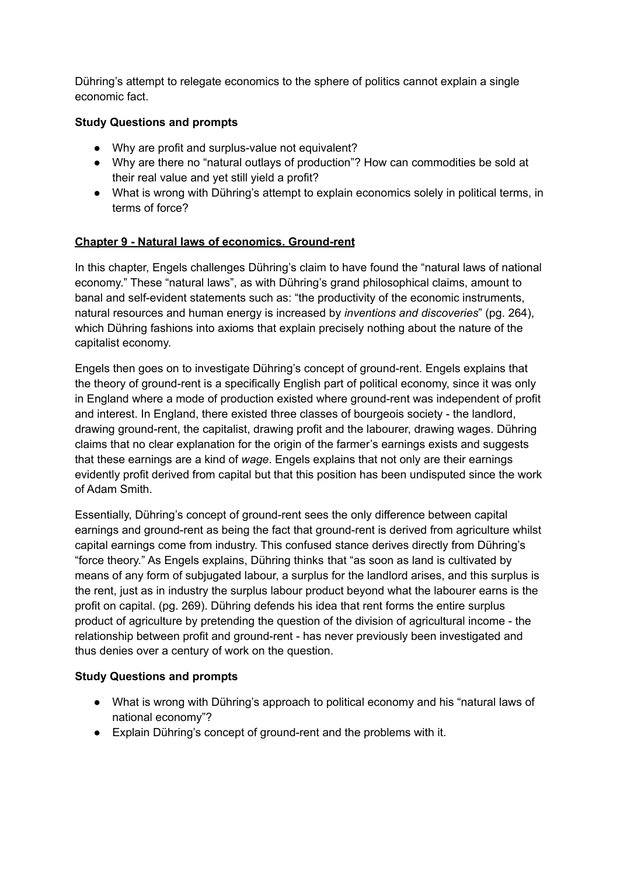Dühring's attempt to relegate economics to the sphere of politics cannot explain a single economic fact.

# **Study Questions and prompts**

- Why are profit and surplus-value not equivalent?
- Why are there no "natural outlays of production"? How can commodities be sold at their real value and yet still yield a profit?
- What is wrong with Dühring's attempt to explain economics solely in political terms, in terms of force?

# **Chapter 9 - Natural laws of economics. Ground-rent**

In this chapter, Engels challenges Dühring's claim to have found the "natural laws of national economy." These "natural laws", as with Dühring's grand philosophical claims, amount to banal and self-evident statements such as: "the productivity of the economic instruments, natural resources and human energy is increased by *inventions and discoveries*" (pg. 264), which Dühring fashions into axioms that explain precisely nothing about the nature of the capitalist economy.

Engels then goes on to investigate Dühring's concept of ground-rent. Engels explains that the theory of ground-rent is a specifically English part of political economy, since it was only in England where a mode of production existed where ground-rent was independent of profit and interest. In England, there existed three classes of bourgeois society - the landlord, drawing ground-rent, the capitalist, drawing profit and the labourer, drawing wages. Dühring claims that no clear explanation for the origin of the farmer's earnings exists and suggests that these earnings are a kind of *wage*. Engels explains that not only are their earnings evidently profit derived from capital but that this position has been undisputed since the work of Adam Smith.

Essentially, Dühring's concept of ground-rent sees the only difference between capital earnings and ground-rent as being the fact that ground-rent is derived from agriculture whilst capital earnings come from industry. This confused stance derives directly from Dühring's "force theory." As Engels explains, Dühring thinks that "as soon as land is cultivated by means of any form of subjugated labour, a surplus for the landlord arises, and this surplus is the rent, just as in industry the surplus labour product beyond what the labourer earns is the profit on capital. (pg. 269). Dühring defends his idea that rent forms the entire surplus product of agriculture by pretending the question of the division of agricultural income - the relationship between profit and ground-rent - has never previously been investigated and thus denies over a century of work on the question.

# **Study Questions and prompts**

- What is wrong with Dühring's approach to political economy and his "natural laws of national economy"?
- Explain Dühring's concept of ground-rent and the problems with it.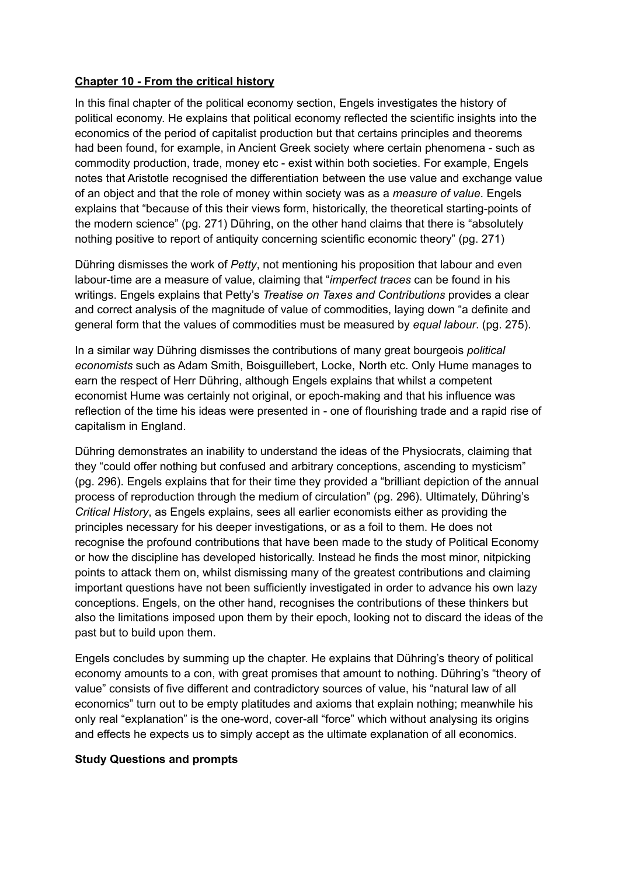## **Chapter 10 - From the critical history**

In this final chapter of the political economy section, Engels investigates the history of political economy. He explains that political economy reflected the scientific insights into the economics of the period of capitalist production but that certains principles and theorems had been found, for example, in Ancient Greek society where certain phenomena - such as commodity production, trade, money etc - exist within both societies. For example, Engels notes that Aristotle recognised the differentiation between the use value and exchange value of an object and that the role of money within society was as a *measure of value*. Engels explains that "because of this their views form, historically, the theoretical starting-points of the modern science" (pg. 271) Dühring, on the other hand claims that there is "absolutely nothing positive to report of antiquity concerning scientific economic theory" (pg. 271)

Dühring dismisses the work of *Petty*, not mentioning his proposition that labour and even labour-time are a measure of value, claiming that "*imperfect traces* can be found in his writings. Engels explains that Petty's *Treatise on Taxes and Contributions* provides a clear and correct analysis of the magnitude of value of commodities, laying down "a definite and general form that the values of commodities must be measured by *equal labour*. (pg. 275).

In a similar way Dühring dismisses the contributions of many great bourgeois *political economists* such as Adam Smith, Boisguillebert, Locke, North etc. Only Hume manages to earn the respect of Herr Dühring, although Engels explains that whilst a competent economist Hume was certainly not original, or epoch-making and that his influence was reflection of the time his ideas were presented in - one of flourishing trade and a rapid rise of capitalism in England.

Dühring demonstrates an inability to understand the ideas of the Physiocrats, claiming that they "could offer nothing but confused and arbitrary conceptions, ascending to mysticism" (pg. 296). Engels explains that for their time they provided a "brilliant depiction of the annual process of reproduction through the medium of circulation" (pg. 296). Ultimately, Dühring's *Critical History*, as Engels explains, sees all earlier economists either as providing the principles necessary for his deeper investigations, or as a foil to them. He does not recognise the profound contributions that have been made to the study of Political Economy or how the discipline has developed historically. Instead he finds the most minor, nitpicking points to attack them on, whilst dismissing many of the greatest contributions and claiming important questions have not been sufficiently investigated in order to advance his own lazy conceptions. Engels, on the other hand, recognises the contributions of these thinkers but also the limitations imposed upon them by their epoch, looking not to discard the ideas of the past but to build upon them.

Engels concludes by summing up the chapter. He explains that Dühring's theory of political economy amounts to a con, with great promises that amount to nothing. Dühring's "theory of value" consists of five different and contradictory sources of value, his "natural law of all economics" turn out to be empty platitudes and axioms that explain nothing; meanwhile his only real "explanation" is the one-word, cover-all "force" which without analysing its origins and effects he expects us to simply accept as the ultimate explanation of all economics.

#### **Study Questions and prompts**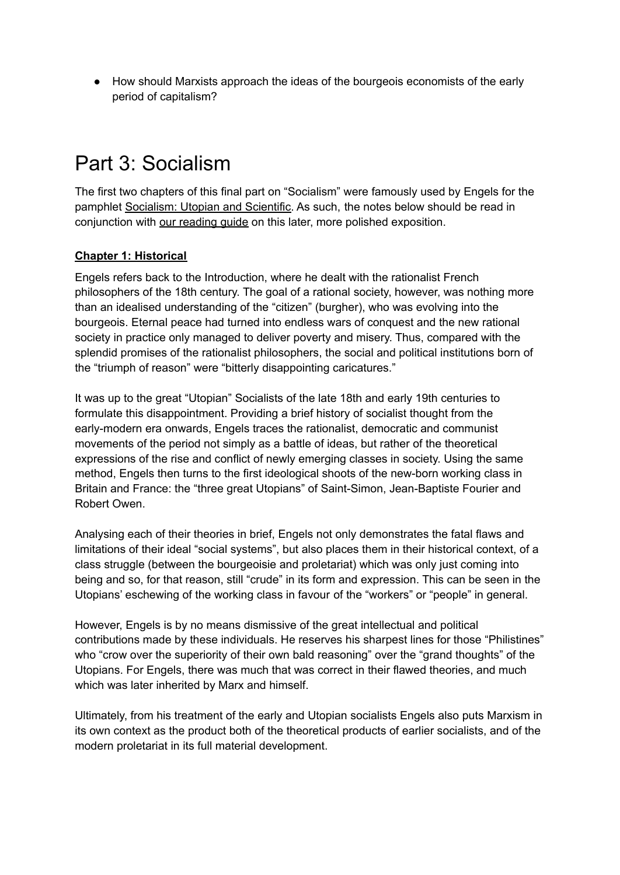● How should Marxists approach the ideas of the bourgeois economists of the early period of capitalism?

# Part 3: Socialism

The first two chapters of this final part on "Socialism" were famously used by Engels for the pamphlet [Socialism:](https://www.marxist.com/classics-marxism-one-book/socialism-utopian-and-scientific.htm) Utopian and Scientific. As such, the notes below should be read in conjunction with our [reading](https://www.socialist.net/socialism-utopian-and-scientific-a-reading-guide.htm) guide on this later, more polished exposition.

# **Chapter 1: Historical**

Engels refers back to the Introduction, where he dealt with the rationalist French philosophers of the 18th century. The goal of a rational society, however, was nothing more than an idealised understanding of the "citizen" (burgher), who was evolving into the bourgeois. Eternal peace had turned into endless wars of conquest and the new rational society in practice only managed to deliver poverty and misery. Thus, compared with the splendid promises of the rationalist philosophers, the social and political institutions born of the "triumph of reason" were "bitterly disappointing caricatures."

It was up to the great "Utopian" Socialists of the late 18th and early 19th centuries to formulate this disappointment. Providing a brief history of socialist thought from the early-modern era onwards, Engels traces the rationalist, democratic and communist movements of the period not simply as a battle of ideas, but rather of the theoretical expressions of the rise and conflict of newly emerging classes in society. Using the same method, Engels then turns to the first ideological shoots of the new-born working class in Britain and France: the "three great Utopians" of Saint-Simon, Jean-Baptiste Fourier and Robert Owen.

Analysing each of their theories in brief, Engels not only demonstrates the fatal flaws and limitations of their ideal "social systems", but also places them in their historical context, of a class struggle (between the bourgeoisie and proletariat) which was only just coming into being and so, for that reason, still "crude" in its form and expression. This can be seen in the Utopians' eschewing of the working class in favour of the "workers" or "people" in general.

However, Engels is by no means dismissive of the great intellectual and political contributions made by these individuals. He reserves his sharpest lines for those "Philistines" who "crow over the superiority of their own bald reasoning" over the "grand thoughts" of the Utopians. For Engels, there was much that was correct in their flawed theories, and much which was later inherited by Marx and himself.

Ultimately, from his treatment of the early and Utopian socialists Engels also puts Marxism in its own context as the product both of the theoretical products of earlier socialists, and of the modern proletariat in its full material development.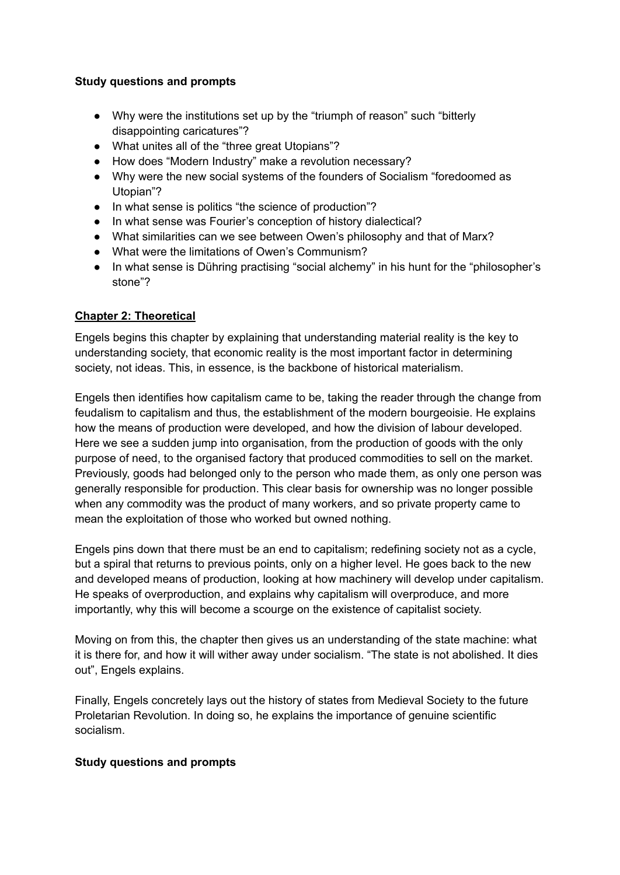## **Study questions and prompts**

- Why were the institutions set up by the "triumph of reason" such "bitterly disappointing caricatures"?
- What unites all of the "three great Utopians"?
- How does "Modern Industry" make a revolution necessary?
- Why were the new social systems of the founders of Socialism "foredoomed as Utopian"?
- In what sense is politics "the science of production"?
- In what sense was Fourier's conception of history dialectical?
- What similarities can we see between Owen's philosophy and that of Marx?
- What were the limitations of Owen's Communism?
- In what sense is Dühring practising "social alchemy" in his hunt for the "philosopher's stone"?

# **Chapter 2: Theoretical**

Engels begins this chapter by explaining that understanding material reality is the key to understanding society, that economic reality is the most important factor in determining society, not ideas. This, in essence, is the backbone of historical materialism.

Engels then identifies how capitalism came to be, taking the reader through the change from feudalism to capitalism and thus, the establishment of the modern bourgeoisie. He explains how the means of production were developed, and how the division of labour developed. Here we see a sudden jump into organisation, from the production of goods with the only purpose of need, to the organised factory that produced commodities to sell on the market. Previously, goods had belonged only to the person who made them, as only one person was generally responsible for production. This clear basis for ownership was no longer possible when any commodity was the product of many workers, and so private property came to mean the exploitation of those who worked but owned nothing.

Engels pins down that there must be an end to capitalism; redefining society not as a cycle, but a spiral that returns to previous points, only on a higher level. He goes back to the new and developed means of production, looking at how machinery will develop under capitalism. He speaks of overproduction, and explains why capitalism will overproduce, and more importantly, why this will become a scourge on the existence of capitalist society.

Moving on from this, the chapter then gives us an understanding of the state machine: what it is there for, and how it will wither away under socialism. "The state is not abolished. It dies out", Engels explains.

Finally, Engels concretely lays out the history of states from Medieval Society to the future Proletarian Revolution. In doing so, he explains the importance of genuine scientific socialism.

# **Study questions and prompts**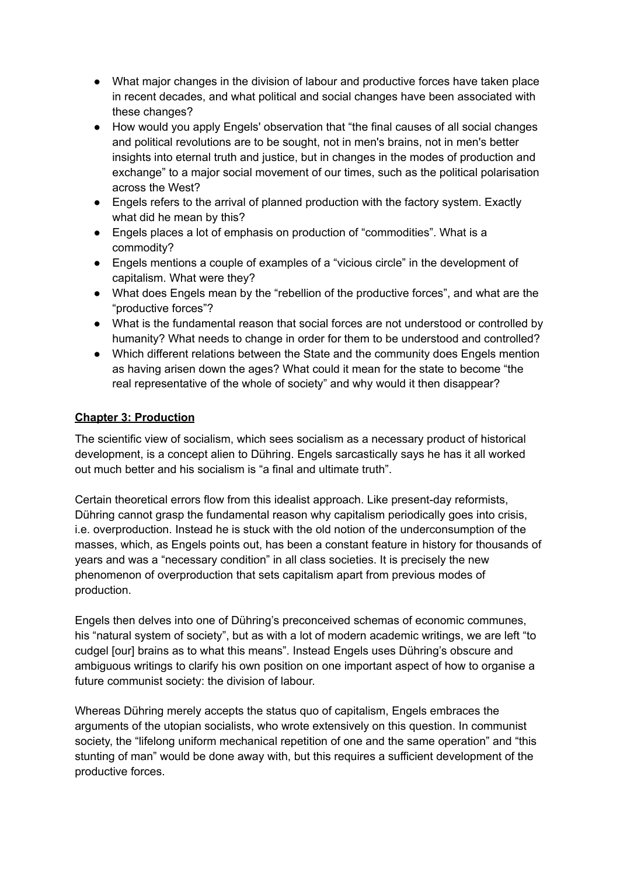- What major changes in the division of labour and productive forces have taken place in recent decades, and what political and social changes have been associated with these changes?
- How would you apply Engels' observation that "the final causes of all social changes and political revolutions are to be sought, not in men's brains, not in men's better insights into eternal truth and justice, but in changes in the modes of production and exchange" to a major social movement of our times, such as the political polarisation across the West?
- Engels refers to the arrival of planned production with the factory system. Exactly what did he mean by this?
- Engels places a lot of emphasis on production of "commodities". What is a commodity?
- Engels mentions a couple of examples of a "vicious circle" in the development of capitalism. What were they?
- What does Engels mean by the "rebellion of the productive forces", and what are the "productive forces"?
- What is the fundamental reason that social forces are not understood or controlled by humanity? What needs to change in order for them to be understood and controlled?
- Which different relations between the State and the community does Engels mention as having arisen down the ages? What could it mean for the state to become "the real representative of the whole of society" and why would it then disappear?

# **Chapter 3: Production**

The scientific view of socialism, which sees socialism as a necessary product of historical development, is a concept alien to Dühring. Engels sarcastically says he has it all worked out much better and his socialism is "a final and ultimate truth".

Certain theoretical errors flow from this idealist approach. Like present-day reformists, Dühring cannot grasp the fundamental reason why capitalism periodically goes into crisis, i.e. overproduction. Instead he is stuck with the old notion of the underconsumption of the masses, which, as Engels points out, has been a constant feature in history for thousands of years and was a "necessary condition" in all class societies. It is precisely the new phenomenon of overproduction that sets capitalism apart from previous modes of production.

Engels then delves into one of Dühring's preconceived schemas of economic communes, his "natural system of society", but as with a lot of modern academic writings, we are left "to cudgel [our] brains as to what this means". Instead Engels uses Dühring's obscure and ambiguous writings to clarify his own position on one important aspect of how to organise a future communist society: the division of labour.

Whereas Dühring merely accepts the status quo of capitalism, Engels embraces the arguments of the utopian socialists, who wrote extensively on this question. In communist society, the "lifelong uniform mechanical repetition of one and the same operation" and "this stunting of man" would be done away with, but this requires a sufficient development of the productive forces.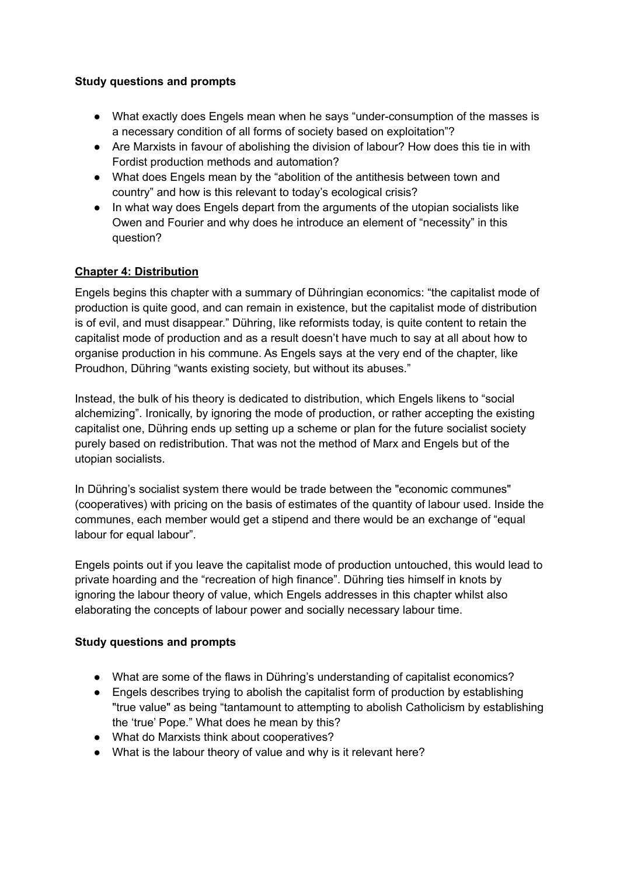# **Study questions and prompts**

- What exactly does Engels mean when he says "under-consumption of the masses is a necessary condition of all forms of society based on exploitation"?
- Are Marxists in favour of abolishing the division of labour? How does this tie in with Fordist production methods and automation?
- What does Engels mean by the "abolition of the antithesis between town and country" and how is this relevant to today's ecological crisis?
- In what way does Engels depart from the arguments of the utopian socialists like Owen and Fourier and why does he introduce an element of "necessity" in this question?

# **Chapter 4: Distribution**

Engels begins this chapter with a summary of Dühringian economics: "the capitalist mode of production is quite good, and can remain in existence, but the capitalist mode of distribution is of evil, and must disappear." Dühring, like reformists today, is quite content to retain the capitalist mode of production and as a result doesn't have much to say at all about how to organise production in his commune. As Engels says at the very end of the chapter, like Proudhon, Dühring "wants existing society, but without its abuses."

Instead, the bulk of his theory is dedicated to distribution, which Engels likens to "social alchemizing". Ironically, by ignoring the mode of production, or rather accepting the existing capitalist one, Dühring ends up setting up a scheme or plan for the future socialist society purely based on redistribution. That was not the method of Marx and Engels but of the utopian socialists.

In Dühring's socialist system there would be trade between the "economic communes" (cooperatives) with pricing on the basis of estimates of the quantity of labour used. Inside the communes, each member would get a stipend and there would be an exchange of "equal labour for equal labour".

Engels points out if you leave the capitalist mode of production untouched, this would lead to private hoarding and the "recreation of high finance". Dühring ties himself in knots by ignoring the labour theory of value, which Engels addresses in this chapter whilst also elaborating the concepts of labour power and socially necessary labour time.

# **Study questions and prompts**

- What are some of the flaws in Dühring's understanding of capitalist economics?
- Engels describes trying to abolish the capitalist form of production by establishing "true value" as being "tantamount to attempting to abolish Catholicism by establishing the 'true' Pope." What does he mean by this?
- What do Marxists think about cooperatives?
- What is the labour theory of value and why is it relevant here?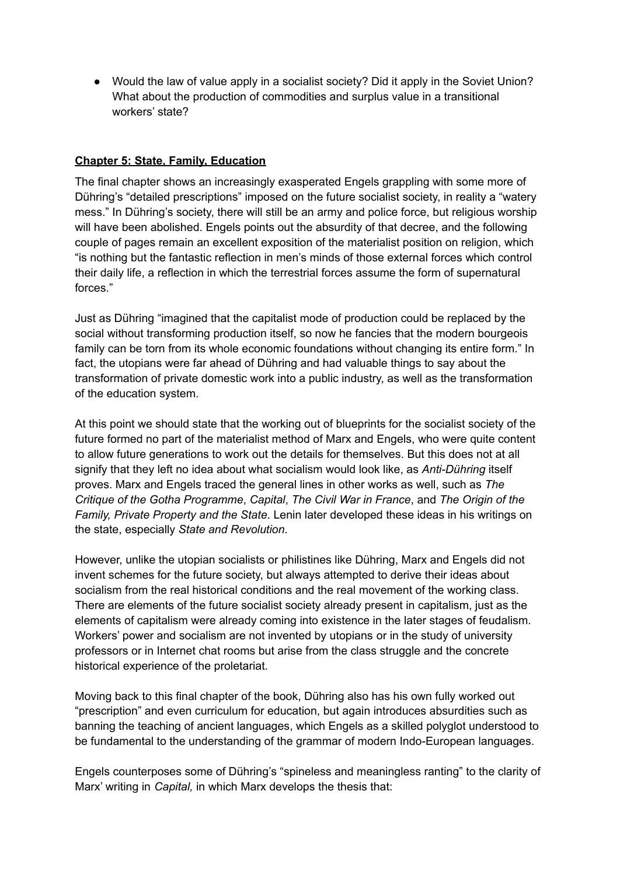● Would the law of value apply in a socialist society? Did it apply in the Soviet Union? What about the production of commodities and surplus value in a transitional workers' state?

### **Chapter 5: State, Family, Education**

The final chapter shows an increasingly exasperated Engels grappling with some more of Dühring's "detailed prescriptions" imposed on the future socialist society, in reality a "watery mess." In Dühring's society, there will still be an army and police force, but religious worship will have been abolished. Engels points out the absurdity of that decree, and the following couple of pages remain an excellent exposition of the materialist position on religion, which "is nothing but the fantastic reflection in men's minds of those external forces which control their daily life, a reflection in which the terrestrial forces assume the form of supernatural forces."

Just as Dühring "imagined that the capitalist mode of production could be replaced by the social without transforming production itself, so now he fancies that the modern bourgeois family can be torn from its whole economic foundations without changing its entire form." In fact, the utopians were far ahead of Dühring and had valuable things to say about the transformation of private domestic work into a public industry, as well as the transformation of the education system.

At this point we should state that the working out of blueprints for the socialist society of the future formed no part of the materialist method of Marx and Engels, who were quite content to allow future generations to work out the details for themselves. But this does not at all signify that they left no idea about what socialism would look like, as *Anti-Dühring* itself proves. Marx and Engels traced the general lines in other works as well, such as *The Critique of the Gotha Programme*, *Capital*, *The Civil War in France*, and *The Origin of the Family, Private Property and the State*. Lenin later developed these ideas in his writings on the state, especially *State and Revolution*.

However, unlike the utopian socialists or philistines like Dühring, Marx and Engels did not invent schemes for the future society, but always attempted to derive their ideas about socialism from the real historical conditions and the real movement of the working class. There are elements of the future socialist society already present in capitalism, just as the elements of capitalism were already coming into existence in the later stages of feudalism. Workers' power and socialism are not invented by utopians or in the study of university professors or in Internet chat rooms but arise from the class struggle and the concrete historical experience of the proletariat.

Moving back to this final chapter of the book, Dühring also has his own fully worked out "prescription" and even curriculum for education, but again introduces absurdities such as banning the teaching of ancient languages, which Engels as a skilled polyglot understood to be fundamental to the understanding of the grammar of modern Indo-European languages.

Engels counterposes some of Dühring's "spineless and meaningless ranting" to the clarity of Marx' writing in *Capital,* in which Marx develops the thesis that: